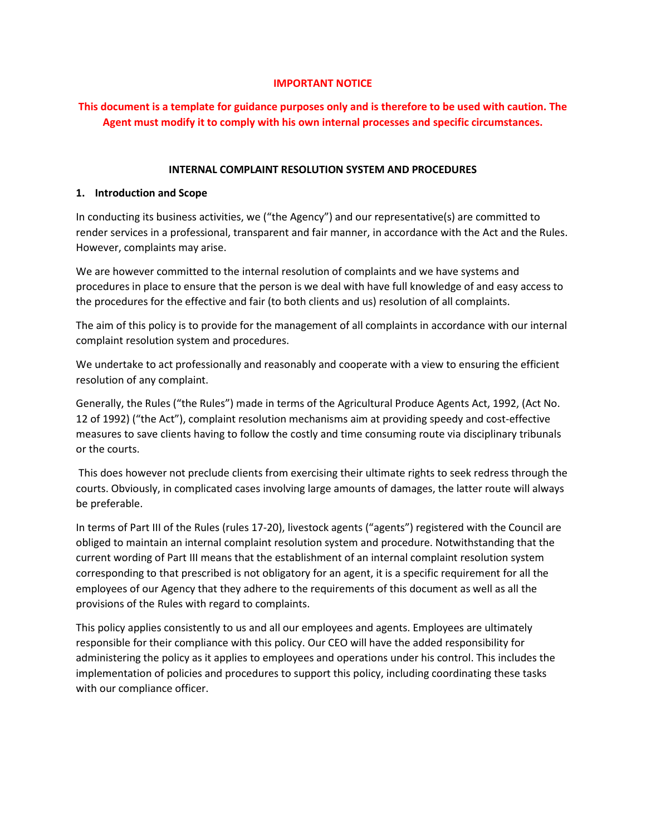### **IMPORTANT NOTICE**

# **This document is a template for guidance purposes only and is therefore to be used with caution. The Agent must modify it to comply with his own internal processes and specific circumstances.**

#### **INTERNAL COMPLAINT RESOLUTION SYSTEM AND PROCEDURES**

#### **1. Introduction and Scope**

In conducting its business activities, we ("the Agency") and our representative(s) are committed to render services in a professional, transparent and fair manner, in accordance with the Act and the Rules. However, complaints may arise.

We are however committed to the internal resolution of complaints and we have systems and procedures in place to ensure that the person is we deal with have full knowledge of and easy access to the procedures for the effective and fair (to both clients and us) resolution of all complaints.

The aim of this policy is to provide for the management of all complaints in accordance with our internal complaint resolution system and procedures.

We undertake to act professionally and reasonably and cooperate with a view to ensuring the efficient resolution of any complaint.

Generally, the Rules ("the Rules") made in terms of the Agricultural Produce Agents Act, 1992, (Act No. 12 of 1992) ("the Act"), complaint resolution mechanisms aim at providing speedy and cost-effective measures to save clients having to follow the costly and time consuming route via disciplinary tribunals or the courts.

This does however not preclude clients from exercising their ultimate rights to seek redress through the courts. Obviously, in complicated cases involving large amounts of damages, the latter route will always be preferable.

In terms of Part III of the Rules (rules 17-20), livestock agents ("agents") registered with the Council are obliged to maintain an internal complaint resolution system and procedure. Notwithstanding that the current wording of Part III means that the establishment of an internal complaint resolution system corresponding to that prescribed is not obligatory for an agent, it is a specific requirement for all the employees of our Agency that they adhere to the requirements of this document as well as all the provisions of the Rules with regard to complaints.

This policy applies consistently to us and all our employees and agents. Employees are ultimately responsible for their compliance with this policy. Our CEO will have the added responsibility for administering the policy as it applies to employees and operations under his control. This includes the implementation of policies and procedures to support this policy, including coordinating these tasks with our compliance officer.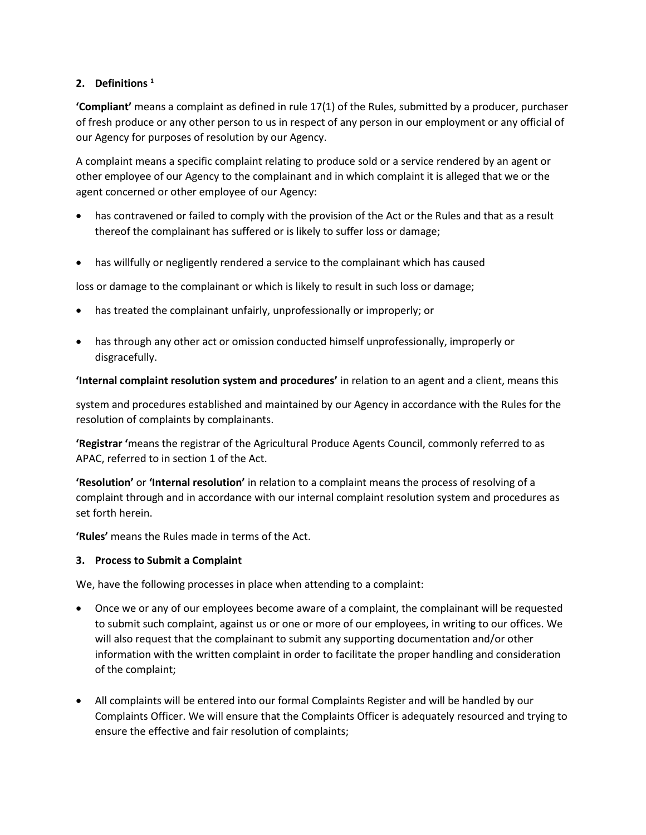### **2. Definitions <sup>1</sup>**

**'Compliant'** means a complaint as defined in rule 17(1) of the Rules, submitted by a producer, purchaser of fresh produce or any other person to us in respect of any person in our employment or any official of our Agency for purposes of resolution by our Agency.

A complaint means a specific complaint relating to produce sold or a service rendered by an agent or other employee of our Agency to the complainant and in which complaint it is alleged that we or the agent concerned or other employee of our Agency:

- has contravened or failed to comply with the provision of the Act or the Rules and that as a result thereof the complainant has suffered or is likely to suffer loss or damage;
- has willfully or negligently rendered a service to the complainant which has caused

loss or damage to the complainant or which is likely to result in such loss or damage;

- has treated the complainant unfairly, unprofessionally or improperly; or
- has through any other act or omission conducted himself unprofessionally, improperly or disgracefully.

### **'Internal complaint resolution system and procedures'** in relation to an agent and a client, means this

system and procedures established and maintained by our Agency in accordance with the Rules for the resolution of complaints by complainants.

**'Registrar '**means the registrar of the Agricultural Produce Agents Council, commonly referred to as APAC, referred to in section 1 of the Act.

**'Resolution'** or **'Internal resolution'** in relation to a complaint means the process of resolving of a complaint through and in accordance with our internal complaint resolution system and procedures as set forth herein.

**'Rules'** means the Rules made in terms of the Act.

### **3. Process to Submit a Complaint**

We, have the following processes in place when attending to a complaint:

- Once we or any of our employees become aware of a complaint, the complainant will be requested to submit such complaint, against us or one or more of our employees, in writing to our offices. We will also request that the complainant to submit any supporting documentation and/or other information with the written complaint in order to facilitate the proper handling and consideration of the complaint;
- All complaints will be entered into our formal Complaints Register and will be handled by our Complaints Officer. We will ensure that the Complaints Officer is adequately resourced and trying to ensure the effective and fair resolution of complaints;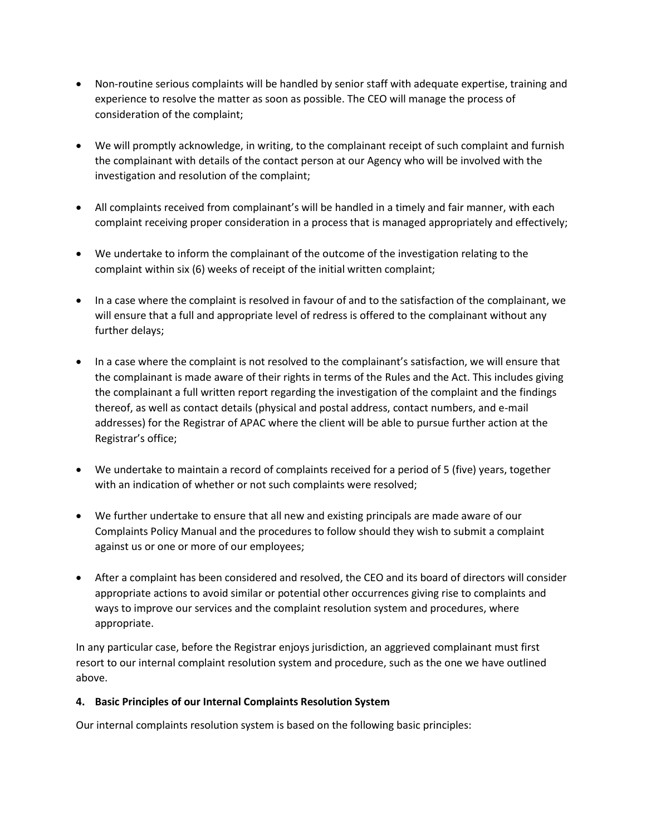- Non-routine serious complaints will be handled by senior staff with adequate expertise, training and experience to resolve the matter as soon as possible. The CEO will manage the process of consideration of the complaint;
- We will promptly acknowledge, in writing, to the complainant receipt of such complaint and furnish the complainant with details of the contact person at our Agency who will be involved with the investigation and resolution of the complaint;
- All complaints received from complainant's will be handled in a timely and fair manner, with each complaint receiving proper consideration in a process that is managed appropriately and effectively;
- We undertake to inform the complainant of the outcome of the investigation relating to the complaint within six (6) weeks of receipt of the initial written complaint;
- In a case where the complaint is resolved in favour of and to the satisfaction of the complainant, we will ensure that a full and appropriate level of redress is offered to the complainant without any further delays;
- In a case where the complaint is not resolved to the complainant's satisfaction, we will ensure that the complainant is made aware of their rights in terms of the Rules and the Act. This includes giving the complainant a full written report regarding the investigation of the complaint and the findings thereof, as well as contact details (physical and postal address, contact numbers, and e-mail addresses) for the Registrar of APAC where the client will be able to pursue further action at the Registrar's office;
- We undertake to maintain a record of complaints received for a period of 5 (five) years, together with an indication of whether or not such complaints were resolved;
- We further undertake to ensure that all new and existing principals are made aware of our Complaints Policy Manual and the procedures to follow should they wish to submit a complaint against us or one or more of our employees;
- After a complaint has been considered and resolved, the CEO and its board of directors will consider appropriate actions to avoid similar or potential other occurrences giving rise to complaints and ways to improve our services and the complaint resolution system and procedures, where appropriate.

In any particular case, before the Registrar enjoys jurisdiction, an aggrieved complainant must first resort to our internal complaint resolution system and procedure, such as the one we have outlined above.

## **4. Basic Principles of our Internal Complaints Resolution System**

Our internal complaints resolution system is based on the following basic principles: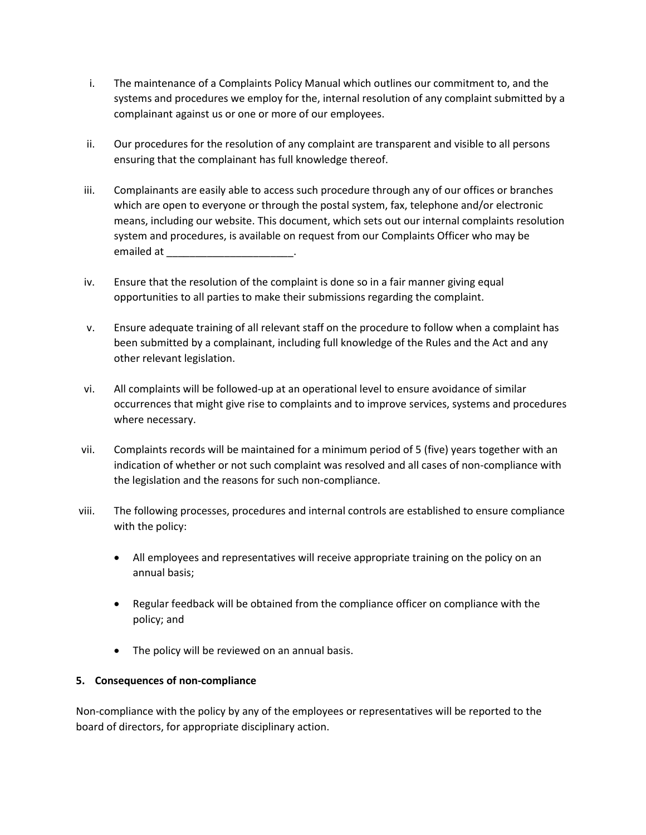- i. The maintenance of a Complaints Policy Manual which outlines our commitment to, and the systems and procedures we employ for the, internal resolution of any complaint submitted by a complainant against us or one or more of our employees.
- ii. Our procedures for the resolution of any complaint are transparent and visible to all persons ensuring that the complainant has full knowledge thereof.
- iii. Complainants are easily able to access such procedure through any of our offices or branches which are open to everyone or through the postal system, fax, telephone and/or electronic means, including our website. This document, which sets out our internal complaints resolution system and procedures, is available on request from our Complaints Officer who may be emailed at \_\_\_\_\_\_\_\_\_\_\_\_\_\_\_\_\_\_\_\_\_\_.
- iv. Ensure that the resolution of the complaint is done so in a fair manner giving equal opportunities to all parties to make their submissions regarding the complaint.
- v. Ensure adequate training of all relevant staff on the procedure to follow when a complaint has been submitted by a complainant, including full knowledge of the Rules and the Act and any other relevant legislation.
- vi. All complaints will be followed-up at an operational level to ensure avoidance of similar occurrences that might give rise to complaints and to improve services, systems and procedures where necessary.
- vii. Complaints records will be maintained for a minimum period of 5 (five) years together with an indication of whether or not such complaint was resolved and all cases of non-compliance with the legislation and the reasons for such non-compliance.
- viii. The following processes, procedures and internal controls are established to ensure compliance with the policy:
	- All employees and representatives will receive appropriate training on the policy on an annual basis;
	- Regular feedback will be obtained from the compliance officer on compliance with the policy; and
	- The policy will be reviewed on an annual basis.

## **5. Consequences of non-compliance**

Non-compliance with the policy by any of the employees or representatives will be reported to the board of directors, for appropriate disciplinary action.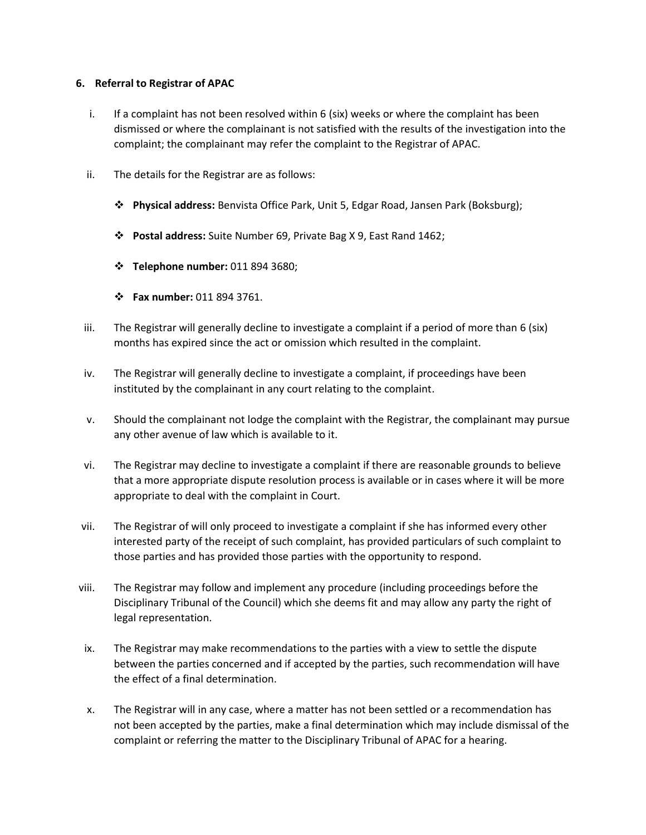#### **6. Referral to Registrar of APAC**

- i. If a complaint has not been resolved within 6 (six) weeks or where the complaint has been dismissed or where the complainant is not satisfied with the results of the investigation into the complaint; the complainant may refer the complaint to the Registrar of APAC.
- ii. The details for the Registrar are as follows:
	- ❖ **Physical address:** Benvista Office Park, Unit 5, Edgar Road, Jansen Park (Boksburg);
	- ❖ **Postal address:** Suite Number 69, Private Bag X 9, East Rand 1462;
	- ❖ **Telephone number:** 011 894 3680;
	- ❖ **Fax number:** 011 894 3761.
- iii. The Registrar will generally decline to investigate a complaint if a period of more than 6 (six) months has expired since the act or omission which resulted in the complaint.
- iv. The Registrar will generally decline to investigate a complaint, if proceedings have been instituted by the complainant in any court relating to the complaint.
- v. Should the complainant not lodge the complaint with the Registrar, the complainant may pursue any other avenue of law which is available to it.
- vi. The Registrar may decline to investigate a complaint if there are reasonable grounds to believe that a more appropriate dispute resolution process is available or in cases where it will be more appropriate to deal with the complaint in Court.
- vii. The Registrar of will only proceed to investigate a complaint if she has informed every other interested party of the receipt of such complaint, has provided particulars of such complaint to those parties and has provided those parties with the opportunity to respond.
- viii. The Registrar may follow and implement any procedure (including proceedings before the Disciplinary Tribunal of the Council) which she deems fit and may allow any party the right of legal representation.
- ix. The Registrar may make recommendations to the parties with a view to settle the dispute between the parties concerned and if accepted by the parties, such recommendation will have the effect of a final determination.
- x. The Registrar will in any case, where a matter has not been settled or a recommendation has not been accepted by the parties, make a final determination which may include dismissal of the complaint or referring the matter to the Disciplinary Tribunal of APAC for a hearing.